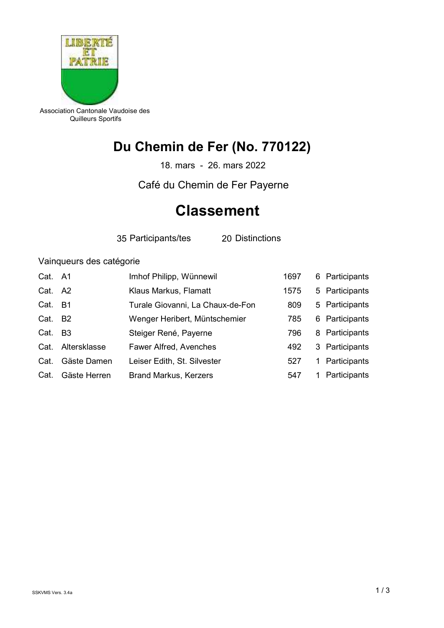

Association Cantonale Vaudoise des Quilleurs Sportifs

## Du Chemin de Fer (No. 770122)

18. mars - 26. mars 2022

Café du Chemin de Fer Payerne

## **Classement**

35 Participants/tes 20 Distinctions

## Vainqueurs des catégorie

| Cat. A1 |                | Imhof Philipp, Wünnewil          | 1697 |    | 6 Participants |
|---------|----------------|----------------------------------|------|----|----------------|
| Cat.    | A2             | Klaus Markus, Flamatt            | 1575 |    | 5 Participants |
| Cat.    | -B1            | Turale Giovanni, La Chaux-de-Fon | 809  |    | 5 Participants |
| Cat.    | B <sub>2</sub> | Wenger Heribert, Müntschemier    | 785  |    | 6 Participants |
| Cat.    | B <sub>3</sub> | Steiger René, Payerne            | 796  |    | 8 Participants |
| Cat.    | Altersklasse   | <b>Fawer Alfred, Avenches</b>    | 492  |    | 3 Participants |
| Cat.    | Gäste Damen    | Leiser Edith, St. Silvester      | 527  | 1. | Participants   |
| Cat.    | Gäste Herren   | <b>Brand Markus, Kerzers</b>     | 547  |    | Participants   |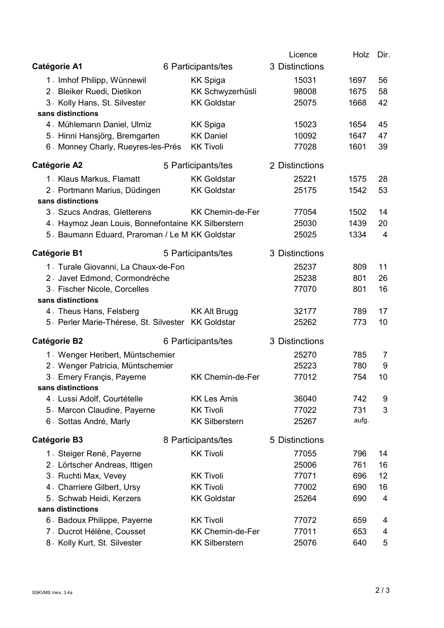|                                                    |  |                         | Licence        | Holz  | Dir. |
|----------------------------------------------------|--|-------------------------|----------------|-------|------|
| <b>Catégorie A1</b>                                |  | 6 Participants/tes      | 3 Distinctions |       |      |
| 1. Imhof Philipp, Wünnewil                         |  | <b>KK Spiga</b>         | 15031          | 1697  | 56   |
| 2. Bleiker Ruedi, Dietikon                         |  | KK Schwyzerhüsli        | 98008          | 1675  | 58   |
| 3. Kolly Hans, St. Silvester                       |  | <b>KK Goldstar</b>      | 25075          | 1668  | 42   |
| sans distinctions                                  |  |                         |                |       |      |
| 4. Mühlemann Daniel, Ulmiz                         |  | <b>KK Spiga</b>         | 15023          | 1654  | 45   |
| 5. Hinni Hansjörg, Bremgarten                      |  | <b>KK Daniel</b>        | 10092          | 1647  | 47   |
| 6. Monney Charly, Rueyres-les-Prés                 |  | <b>KK Tivoli</b>        | 77028          | 1601  | 39   |
| <b>Catégorie A2</b>                                |  | 5 Participants/tes      | 2 Distinctions |       |      |
| 1. Klaus Markus, Flamatt                           |  | <b>KK Goldstar</b>      | 25221          | 1575  | 28   |
| 2. Portmann Marius, Düdingen                       |  | <b>KK Goldstar</b>      | 25175          | 1542  | 53   |
| sans distinctions                                  |  |                         |                |       |      |
| 3. Szucs Andras, Gletterens                        |  | <b>KK Chemin-de-Fer</b> | 77054          | 1502  | 14   |
| 4. Haymoz Jean Louis, Bonnefontaine KK Silberstern |  |                         | 25030          | 1439  | 20   |
| 5 Baumann Eduard, Praroman / Le M KK Goldstar      |  |                         | 25025          | 1334  | 4    |
| <b>Catégorie B1</b>                                |  | 5 Participants/tes      | 3 Distinctions |       |      |
| 1. Turale Giovanni, La Chaux-de-Fon                |  |                         | 25237          | 809   | 11   |
| 2. Javet Edmond, Cormondrèche                      |  |                         | 25238          | 801   | 26   |
| 3. Fischer Nicole, Corcelles                       |  |                         | 77070          | 801   | 16   |
| sans distinctions                                  |  |                         |                |       |      |
| 4. Theus Hans, Felsberg                            |  | <b>KK Alt Brugg</b>     | 32177          | 789   | 17   |
| 5. Perler Marie-Thérese, St. Silvester KK Goldstar |  |                         | 25262          | 773   | 10   |
| <b>Catégorie B2</b>                                |  | 6 Participants/tes      | 3 Distinctions |       |      |
| 1. Wenger Heribert, Müntschemier                   |  |                         | 25270          | 785   | 7    |
| 2. Wenger Patricia, Müntschemier                   |  |                         | 25223          | 780   | 9    |
| 3. Emery Françis, Payerne                          |  | <b>KK Chemin-de-Fer</b> | 77012          | 754   | 10   |
| sans distinctions                                  |  |                         |                |       |      |
| 4. Lussi Adolf, Courtételle                        |  | <b>KK Les Amis</b>      | 36040          | 742   | 9    |
| 5. Marcon Claudine, Payerne                        |  | <b>KK Tivoli</b>        | 77022          | 731   | 3    |
| 6. Sottas André, Marly                             |  | <b>KK Silberstern</b>   | 25267          | aufg. |      |
| <b>Catégorie B3</b>                                |  | 8 Participants/tes      | 5 Distinctions |       |      |
| 1. Steiger René, Payerne                           |  | <b>KK Tivoli</b>        | 77055          | 796   | 14   |
| 2. Lörtscher Andreas, Ittigen                      |  |                         | 25006          | 761   | 16   |
| 3. Ruchti Max, Vevey                               |  | <b>KK Tivoli</b>        | 77071          | 696   | 12   |
| 4. Charriere Gilbert, Ursy                         |  | <b>KK Tivoli</b>        | 77002          | 690   | 16   |
| 5. Schwab Heidi, Kerzers                           |  | <b>KK Goldstar</b>      | 25264          | 690   | 4    |
| sans distinctions                                  |  |                         |                |       |      |
| 6. Badoux Philippe, Payerne                        |  | <b>KK Tivoli</b>        | 77072          | 659   | 4    |
| 7. Ducrot Hélène, Cousset                          |  | <b>KK Chemin-de-Fer</b> | 77011          | 653   | 4    |
| 8. Kolly Kurt, St. Silvester                       |  | <b>KK Silberstern</b>   | 25076          | 640   | 5    |